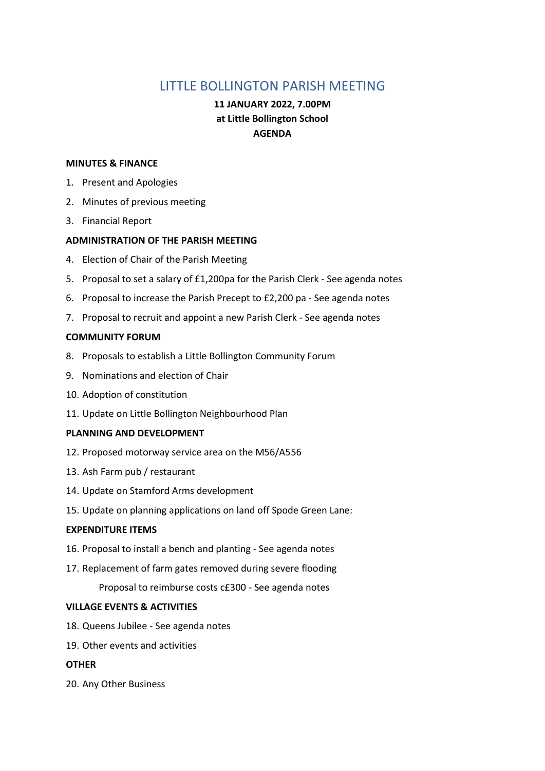# LITTLE BOLLINGTON PARISH MEETING

## **11 JANUARY 2022, 7.00PM at Little Bollington School AGENDA**

#### **MINUTES & FINANCE**

- 1. Present and Apologies
- 2. Minutes of previous meeting
- 3. Financial Report

#### **ADMINISTRATION OF THE PARISH MEETING**

- 4. Election of Chair of the Parish Meeting
- 5. Proposal to set a salary of £1,200pa for the Parish Clerk See agenda notes
- 6. Proposal to increase the Parish Precept to £2,200 pa See agenda notes
- 7. Proposal to recruit and appoint a new Parish Clerk See agenda notes

#### **COMMUNITY FORUM**

- 8. Proposals to establish a Little Bollington Community Forum
- 9. Nominations and election of Chair
- 10. Adoption of constitution
- 11. Update on Little Bollington Neighbourhood Plan

#### **PLANNING AND DEVELOPMENT**

- 12. Proposed motorway service area on the M56/A556
- 13. Ash Farm pub / restaurant
- 14. Update on Stamford Arms development
- 15. Update on planning applications on land off Spode Green Lane:

#### **EXPENDITURE ITEMS**

- 16. Proposal to install a bench and planting See agenda notes
- 17. Replacement of farm gates removed during severe flooding
	- Proposal to reimburse costs c£300 See agenda notes

#### **VILLAGE EVENTS & ACTIVITIES**

- 18. Queens Jubilee See agenda notes
- 19. Other events and activities

#### **OTHER**

20. Any Other Business